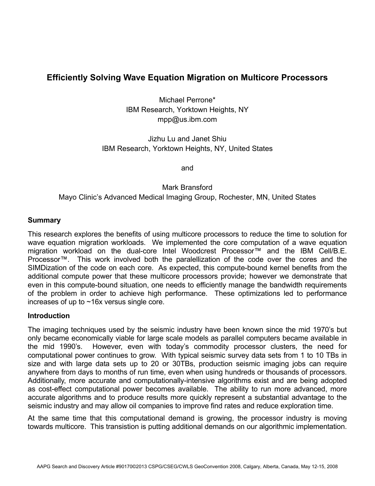# **Efficiently Solving Wave Equation Migration on Multicore Processors**

Michael Perrone\* IBM Research, Yorktown Heights, NY mpp@us.ibm.com

Jizhu Lu and Janet Shiu IBM Research, Yorktown Heights, NY, United States

and

Mark Bransford Mayo Clinic's Advanced Medical Imaging Group, Rochester, MN, United States

### **Summary**

This research explores the benefits of using multicore processors to reduce the time to solution for wave equation migration workloads. We implemented the core computation of a wave equation migration workload on the dual-core Intel Woodcrest Processor™ and the IBM Cell/B.E. Processor™. This work involved both the paralellization of the code over the cores and the SIMDization of the code on each core. As expected, this compute-bound kernel benefits from the additional compute power that these multicore processors provide; however we demonstrate that even in this compute-bound situation, one needs to efficiently manage the bandwidth requirements of the problem in order to achieve high performance. These optimizations led to performance increases of up to ~16x versus single core.

### **Introduction**

The imaging techniques used by the seismic industry have been known since the mid 1970's but only became economically viable for large scale models as parallel computers became available in the mid 1990's. However, even with today's commodity processor clusters, the need for computational power continues to grow. With typical seismic survey data sets from 1 to 10 TBs in size and with large data sets up to 20 or 30TBs, production seismic imaging jobs can require anywhere from days to months of run time, even when using hundreds or thousands of processors. Additionally, more accurate and computationally-intensive algorithms exist and are being adopted as cost-effect computational power becomes available. The ability to run more advanced, more accurate algorithms and to produce results more quickly represent a substantial advantage to the seismic industry and may allow oil companies to improve find rates and reduce exploration time.

At the same time that this computational demand is growing, the processor industry is moving towards multicore. This transistion is putting additional demands on our algorithmic implementation.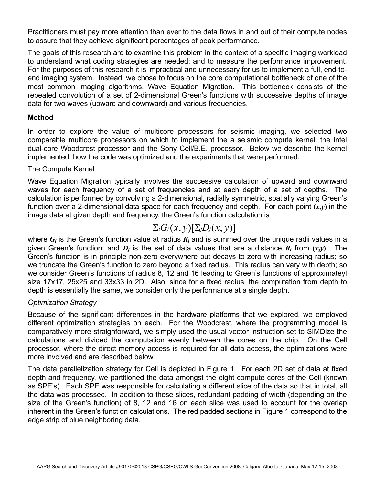Practitioners must pay more attention than ever to the data flows in and out of their compute nodes to assure that they achieve significant percentages of peak performance.

The goals of this research are to examine this problem in the context of a specific imaging workload to understand what coding strategies are needed; and to measure the performance improvement. For the purposes of this research it is impractical and unnecessary for us to implement a full, end-toend imaging system. Instead, we chose to focus on the core computational bottleneck of one of the most common imaging algorithms, Wave Equation Migration. This bottleneck consists of the repeated convolution of a set of 2-dimensional Green's functions with successive depths of image data for two waves (upward and downward) and various frequencies.

### **Method**

In order to explore the value of multicore processors for seismic imaging, we selected two comparable multicore processors on which to implement the a seismic compute kernel: the Intel dual-core Woodcrest processor and the Sony Cell/B.E. processor. Below we describe the kernel implemented, how the code was optimized and the experiments that were performed.

### The Compute Kernel

Wave Equation Migration typically involves the successive calculation of upward and downward waves for each frequency of a set of frequencies and at each depth of a set of depths. The calculation is performed by convolving a 2-dimensional, radially symmetric, spatially varying Green's function over a 2-dimensional data space for each frequency and depth. For each point **(***x,y***)** in the image data at given depth and frequency, the Green's function calculation is

# $\Sigma_i G_i(x, y) [\Sigma_i D_i(x, y)]$

where  $G_i$  is the Green's function value at radius  $R_i$  and is summed over the unique radii values in a given Green's function; and  $D_i$  is the set of data values that are a distance  $R_i$  from  $(x, y)$ . The Green's function is in principle non-zero everywhere but decays to zero with increasing radius; so we truncate the Green's function to zero beyond a fixed radius. This radius can vary with depth; so we consider Green's functions of radius 8, 12 and 16 leading to Green's functions of approximateyl size 17x17, 25x25 and 33x33 in 2D. Also, since for a fixed radius, the computation from depth to depth is essentially the same, we consider only the performance at a single depth.

## *Optimization Strategy*

Because of the significant differences in the hardware platforms that we explored, we employed different optimization strategies on each. For the Woodcrest, where the programming model is comparatively more straighforward, we simply used the usual vector instruction set to SIMDize the calculations and divided the computation evenly between the cores on the chip. On the Cell processor, where the direct memory access is required for all data access, the optimizations were more involved and are described below.

The data parallelization strategy for Cell is depicted in Figure 1. For each 2D set of data at fixed depth and frequency, we partitioned the data amongst the eight compute cores of the Cell (known as SPE's). Each SPE was responsible for calculating a different slice of the data so that in total, all the data was processed. In addition to these slices, redundant padding of width (depending on the size of the Green's function) of 8, 12 and 16 on each slice was used to account for the overlap inherent in the Green's function calculations. The red padded sections in Figure 1 correspond to the edge strip of blue neighboring data.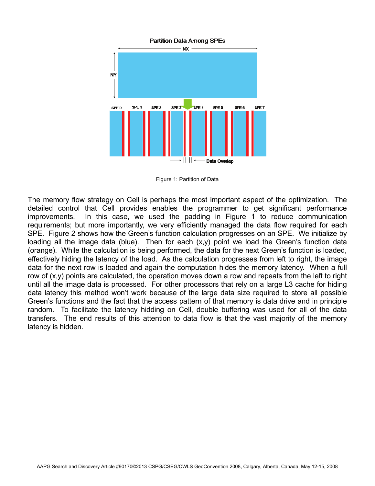

Figure 1: Partition of Data

The memory flow strategy on Cell is perhaps the most important aspect of the optimization. The detailed control that Cell provides enables the programmer to get significant performance improvements. In this case, we used the padding in Figure 1 to reduce communication requirements; but more importantly, we very efficiently managed the data flow required for each SPE. Figure 2 shows how the Green's function calculation progresses on an SPE. We initialize by loading all the image data (blue). Then for each  $(x,y)$  point we load the Green's function data (orange). While the calculation is being performed, the data for the next Green's function is loaded, effectively hiding the latency of the load. As the calculation progresses from left to right, the image data for the next row is loaded and again the computation hides the memory latency. When a full row of (x,y) points are calculated, the operation moves down a row and repeats from the left to right until all the image data is processed. For other processors that rely on a large L3 cache for hiding data latency this method won't work because of the large data size required to store all possible Green's functions and the fact that the access pattern of that memory is data drive and in principle random. To facilitate the latency hidding on Cell, double buffering was used for all of the data transfers. The end results of this attention to data flow is that the vast majority of the memory latency is hidden.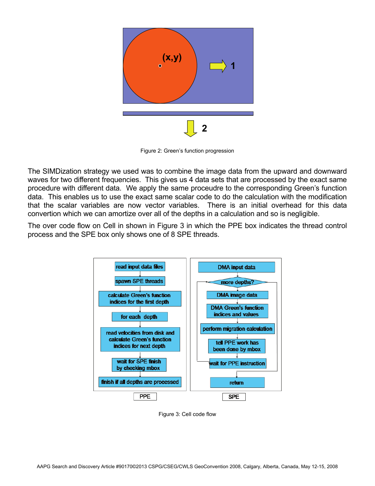

Figure 2: Green's function progression

The SIMDization strategy we used was to combine the image data from the upward and downward waves for two different frequencies. This gives us 4 data sets that are processed by the exact same procedure with different data. We apply the same proceudre to the corresponding Green's function data. This enables us to use the exact same scalar code to do the calculation with the modification that the scalar variables are now vector variables. There is an initial overhead for this data convertion which we can amortize over all of the depths in a calculation and so is negligible.

The over code flow on Cell in shown in Figure 3 in which the PPE box indicates the thread control process and the SPE box only shows one of 8 SPE threads.



Figure 3: Cell code flow